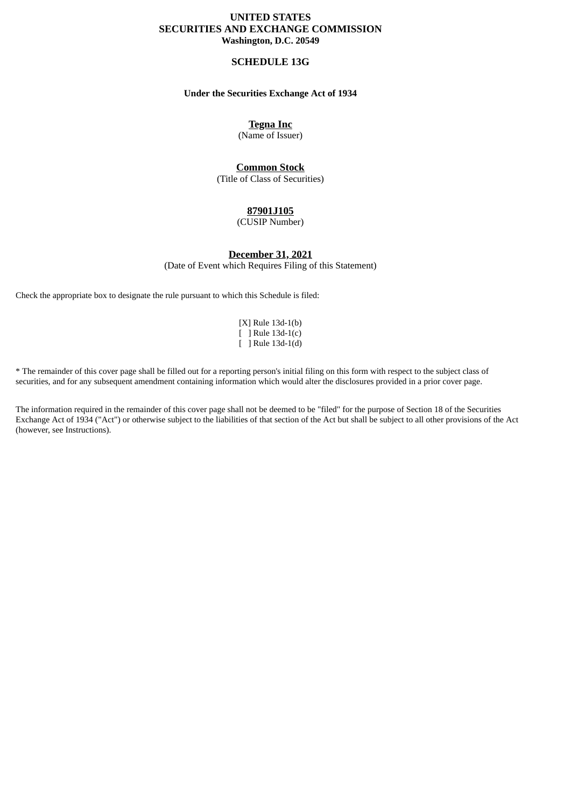## **UNITED STATES SECURITIES AND EXCHANGE COMMISSION Washington, D.C. 20549**

## **SCHEDULE 13G**

## **Under the Securities Exchange Act of 1934**

**Tegna Inc**

(Name of Issuer)

# **Common Stock**

(Title of Class of Securities)

## **87901J105**

(CUSIP Number)

## **December 31, 2021**

(Date of Event which Requires Filing of this Statement)

Check the appropriate box to designate the rule pursuant to which this Schedule is filed:

[X] Rule 13d-1(b) [ ] Rule 13d-1(c) [ ] Rule 13d-1(d)

\* The remainder of this cover page shall be filled out for a reporting person's initial filing on this form with respect to the subject class of securities, and for any subsequent amendment containing information which would alter the disclosures provided in a prior cover page.

The information required in the remainder of this cover page shall not be deemed to be "filed" for the purpose of Section 18 of the Securities Exchange Act of 1934 ("Act") or otherwise subject to the liabilities of that section of the Act but shall be subject to all other provisions of the Act (however, see Instructions).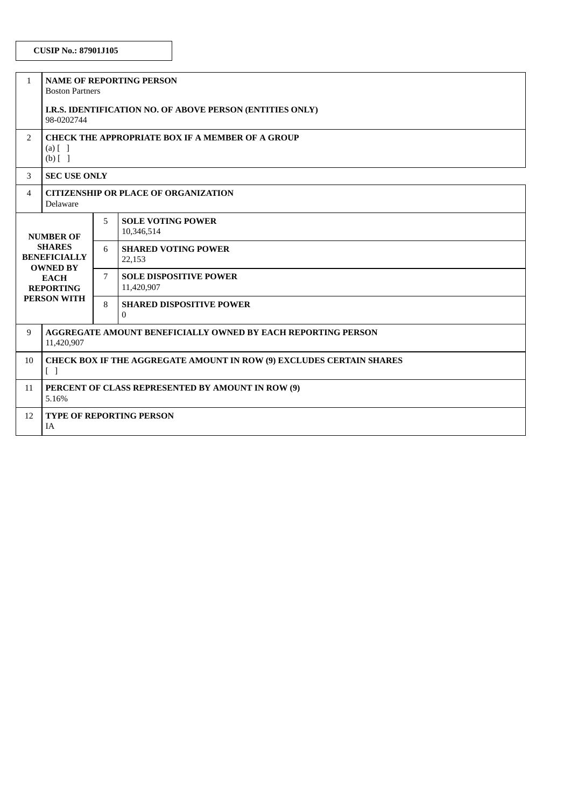# **CUSIP No.: 87901J105**

| $\mathbf{1}$                                                                                                                  | <b>NAME OF REPORTING PERSON</b><br><b>Boston Partners</b>                                                       |   |                                                 |
|-------------------------------------------------------------------------------------------------------------------------------|-----------------------------------------------------------------------------------------------------------------|---|-------------------------------------------------|
|                                                                                                                               | I.R.S. IDENTIFICATION NO. OF ABOVE PERSON (ENTITIES ONLY)<br>98-0202744                                         |   |                                                 |
| $\overline{2}$                                                                                                                | <b>CHECK THE APPROPRIATE BOX IF A MEMBER OF A GROUP</b><br>$(a)$ $\begin{bmatrix} 1 \end{bmatrix}$<br>$(b)$ [ ] |   |                                                 |
| 3                                                                                                                             | <b>SEC USE ONLY</b>                                                                                             |   |                                                 |
| 4                                                                                                                             | <b>CITIZENSHIP OR PLACE OF ORGANIZATION</b><br>Delaware                                                         |   |                                                 |
| <b>NUMBER OF</b><br><b>SHARES</b><br><b>BENEFICIALLY</b><br><b>OWNED BY</b><br><b>EACH</b><br><b>REPORTING</b><br>PERSON WITH |                                                                                                                 | 5 | <b>SOLE VOTING POWER</b><br>10,346,514          |
|                                                                                                                               |                                                                                                                 | 6 | <b>SHARED VOTING POWER</b><br>22,153            |
|                                                                                                                               |                                                                                                                 | 7 | <b>SOLE DISPOSITIVE POWER</b><br>11,420,907     |
|                                                                                                                               |                                                                                                                 | 8 | <b>SHARED DISPOSITIVE POWER</b><br>$\mathbf{0}$ |
| 9                                                                                                                             | <b>AGGREGATE AMOUNT BENEFICIALLY OWNED BY EACH REPORTING PERSON</b><br>11,420,907                               |   |                                                 |
| 10                                                                                                                            | CHECK BOX IF THE AGGREGATE AMOUNT IN ROW (9) EXCLUDES CERTAIN SHARES<br>$\begin{bmatrix} \end{bmatrix}$         |   |                                                 |
| 11                                                                                                                            | PERCENT OF CLASS REPRESENTED BY AMOUNT IN ROW (9)<br>5.16%                                                      |   |                                                 |
| 12                                                                                                                            | <b>TYPE OF REPORTING PERSON</b><br><b>IA</b>                                                                    |   |                                                 |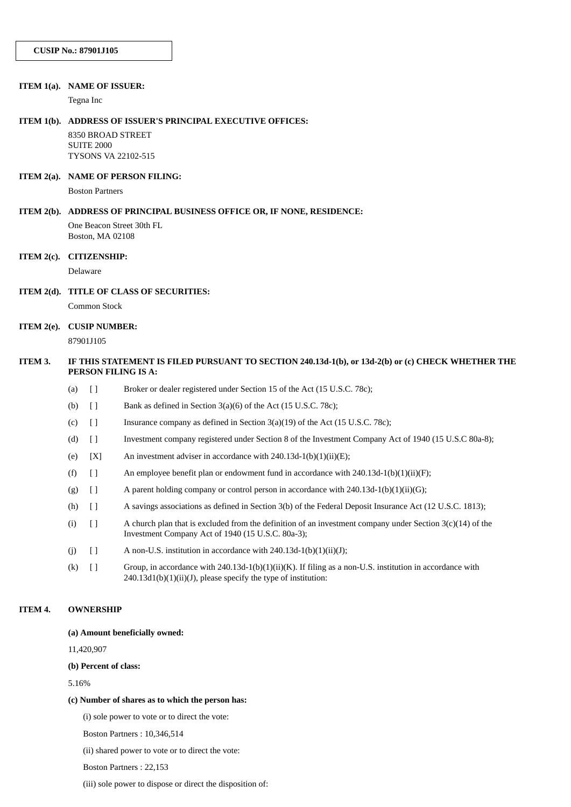#### **ITEM 1(a). NAME OF ISSUER:**

Tegna Inc

#### **ITEM 1(b). ADDRESS OF ISSUER'S PRINCIPAL EXECUTIVE OFFICES:**

8350 BROAD STREET SUITE 2000 TYSONS VA 22102-515

#### **ITEM 2(a). NAME OF PERSON FILING:**

Boston Partners

#### **ITEM 2(b). ADDRESS OF PRINCIPAL BUSINESS OFFICE OR, IF NONE, RESIDENCE:**

One Beacon Street 30th FL Boston, MA 02108

## **ITEM 2(c). CITIZENSHIP:**

Delaware

### **ITEM 2(d). TITLE OF CLASS OF SECURITIES:**

Common Stock

# **ITEM 2(e). CUSIP NUMBER:**

87901J105

## ITEM 3. IF THIS STATEMENT IS FILED PURSUANT TO SECTION 240.13d-1(b), or 13d-2(b) or (c) CHECK WHETHER THE **PERSON FILING IS A:**

- (a) [ ] Broker or dealer registered under Section 15 of the Act (15 U.S.C. 78c);
- (b)  $\Box$  Bank as defined in Section 3(a)(6) of the Act (15 U.S.C. 78c);
- (c)  $\begin{bmatrix} \end{bmatrix}$  Insurance company as defined in Section 3(a)(19) of the Act (15 U.S.C. 78c);
- (d) [ ] Investment company registered under Section 8 of the Investment Company Act of 1940 (15 U.S.C 80a-8);
- (e)  $[X]$  An investment adviser in accordance with 240.13d-1(b)(1)(ii)(E);
- (f)  $\left[ \right]$  An employee benefit plan or endowment fund in accordance with 240.13d-1(b)(1)(ii)(F);
- (g) [ ] A parent holding company or control person in accordance with 240.13d-1(b)(1)(ii)(G);
- (h) [ ] A savings associations as defined in Section 3(b) of the Federal Deposit Insurance Act (12 U.S.C. 1813);
- (i)  $\left[ \right]$  A church plan that is excluded from the definition of an investment company under Section 3(c)(14) of the Investment Company Act of 1940 (15 U.S.C. 80a-3);
- (j)  $[$  A non-U.S. institution in accordance with 240.13d-1(b)(1)(ii)(J);
- (k) [ ] Group, in accordance with 240.13d-1(b)(1)(ii)(K). If filing as a non-U.S. institution in accordance with 240.13d1(b)(1)(ii)(J), please specify the type of institution:

### **ITEM 4. OWNERSHIP**

**(a) Amount beneficially owned:**

11,420,907

**(b) Percent of class:**

5.16%

### **(c) Number of shares as to which the person has:**

(i) sole power to vote or to direct the vote:

Boston Partners : 10,346,514

(ii) shared power to vote or to direct the vote:

Boston Partners : 22,153

(iii) sole power to dispose or direct the disposition of: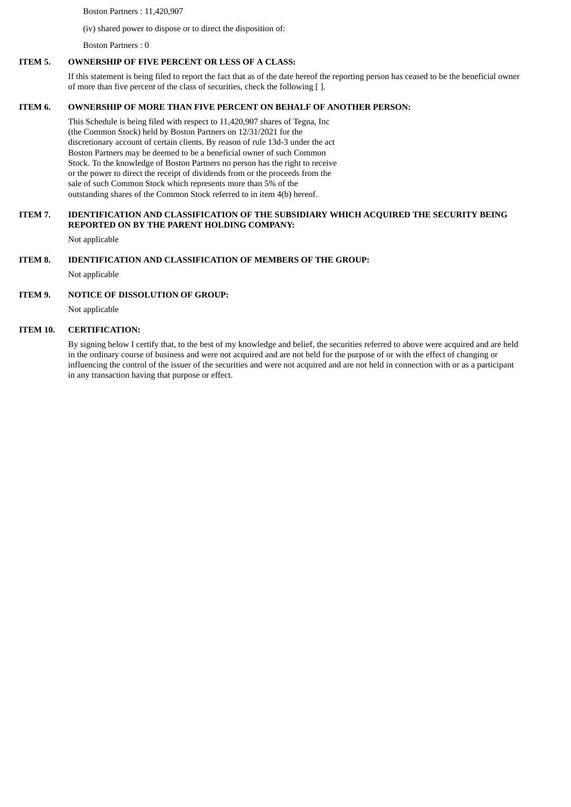Boston Partners : 11,420,907

(iv) shared power to dispose or to direct the disposition of:

Boston Partners : 0

### **ITEM 5. OWNERSHIP OF FIVE PERCENT OR LESS OF A CLASS:**

If this statement is being filed to report the fact that as of the date hereof the reporting person has ceased to be the beneficial owner of more than five percent of the class of securities, check the following [ ].

### **ITEM 6. OWNERSHIP OF MORE THAN FIVE PERCENT ON BEHALF OF ANOTHER PERSON:**

This Schedule is being filed with respect to 11,420,907 shares of Tegna, Inc (the Common Stock) held by Boston Partners on 12/31/2021 for the discretionary account of certain clients. By reason of rule 13d-3 under the act Boston Partners may be deemed to be a beneficial owner of such Common Stock. To the knowledge of Boston Partners no person has the right to receive or the power to direct the receipt of dividends from or the proceeds from the sale of such Common Stock which represents more than 5% of the outstanding shares of the Common Stock referred to in item 4(b) hereof.

## **ITEM 7. IDENTIFICATION AND CLASSIFICATION OF THE SUBSIDIARY WHICH ACQUIRED THE SECURITY BEING REPORTED ON BY THE PARENT HOLDING COMPANY:**

Not applicable

### **ITEM 8. IDENTIFICATION AND CLASSIFICATION OF MEMBERS OF THE GROUP:**

Not applicable

### **ITEM 9. NOTICE OF DISSOLUTION OF GROUP:**

Not applicable

### **ITEM 10. CERTIFICATION:**

By signing below I certify that, to the best of my knowledge and belief, the securities referred to above were acquired and are held in the ordinary course of business and were not acquired and are not held for the purpose of or with the effect of changing or influencing the control of the issuer of the securities and were not acquired and are not held in connection with or as a participant in any transaction having that purpose or effect.